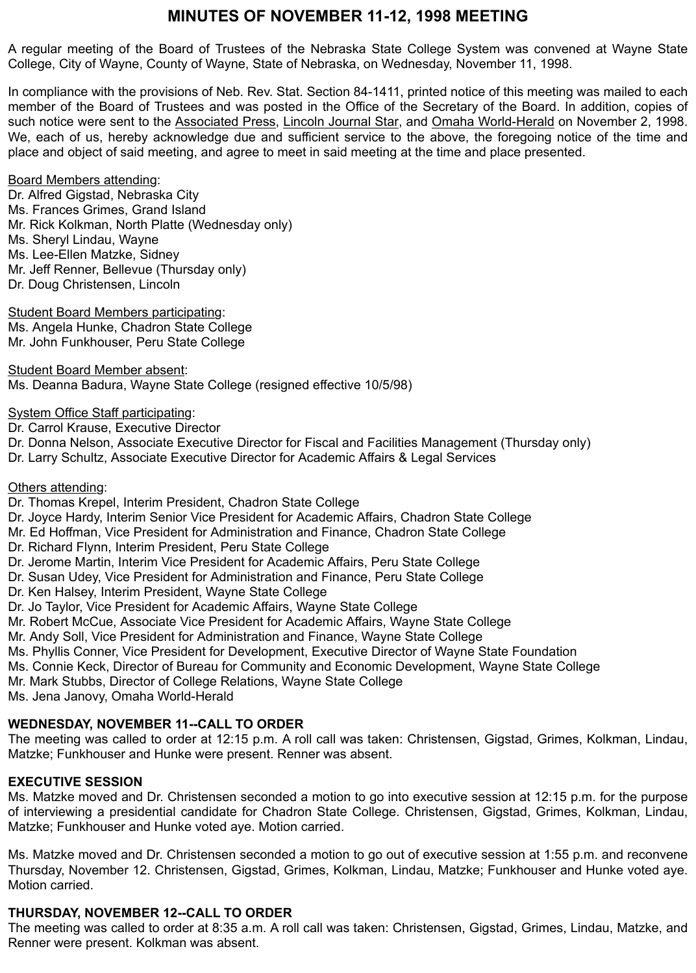# **MINUTES OF NOVEMBER 11-12, 1998 MEETING**

A regular meeting of the Board of Trustees of the Nebraska State College System was convened at Wayne State College, City of Wayne, County of Wayne, State of Nebraska, on Wednesday, November 11, 1998.

In compliance with the provisions of Neb. Rev. Stat. Section 84-1411, printed notice of this meeting was mailed to each member of the Board of Trustees and was posted in the Office of the Secretary of the Board. In addition, copies of such notice were sent to the Associated Press, Lincoln Journal Star, and Omaha World-Herald on November 2, 1998. We, each of us, hereby acknowledge due and sufficient service to the above, the foregoing notice of the time and place and object of said meeting, and agree to meet in said meeting at the time and place presented.

# Board Members attending:

Dr. Alfred Gigstad, Nebraska City Ms. Frances Grimes, Grand Island Mr. Rick Kolkman, North Platte (Wednesday only) Ms. Sheryl Lindau, Wayne Ms. Lee-Ellen Matzke, Sidney Mr. Jeff Renner, Bellevue (Thursday only) Dr. Doug Christensen, Lincoln

Student Board Members participating: Ms. Angela Hunke, Chadron State College Mr. John Funkhouser, Peru State College

Student Board Member absent: Ms. Deanna Badura, Wayne State College (resigned effective 10/5/98)

System Office Staff participating:

Dr. Carrol Krause, Executive Director

- Dr. Donna Nelson, Associate Executive Director for Fiscal and Facilities Management (Thursday only)
- Dr. Larry Schultz, Associate Executive Director for Academic Affairs & Legal Services

## Others attending:

- Dr. Thomas Krepel, Interim President, Chadron State College
- Dr. Joyce Hardy, Interim Senior Vice President for Academic Affairs, Chadron State College
- Mr. Ed Hoffman, Vice President for Administration and Finance, Chadron State College
- Dr. Richard Flynn, Interim President, Peru State College
- Dr. Jerome Martin, Interim Vice President for Academic Affairs, Peru State College
- Dr. Susan Udey, Vice President for Administration and Finance, Peru State College
- Dr. Ken Halsey, Interim President, Wayne State College
- Dr. Jo Taylor, Vice President for Academic Affairs, Wayne State College
- Mr. Robert McCue, Associate Vice President for Academic Affairs, Wayne State College
- Mr. Andy Soll, Vice President for Administration and Finance, Wayne State College
- Ms. Phyllis Conner, Vice President for Development, Executive Director of Wayne State Foundation
- Ms. Connie Keck, Director of Bureau for Community and Economic Development, Wayne State College
- Mr. Mark Stubbs, Director of College Relations, Wayne State College

Ms. Jena Janovy, Omaha World-Herald

# **WEDNESDAY, NOVEMBER 11--CALL TO ORDER**

The meeting was called to order at 12:15 p.m. A roll call was taken: Christensen, Gigstad, Grimes, Kolkman, Lindau, Matzke; Funkhouser and Hunke were present. Renner was absent.

# **EXECUTIVE SESSION**

Ms. Matzke moved and Dr. Christensen seconded a motion to go into executive session at 12:15 p.m. for the purpose of interviewing a presidential candidate for Chadron State College. Christensen, Gigstad, Grimes, Kolkman, Lindau, Matzke; Funkhouser and Hunke voted aye. Motion carried.

Ms. Matzke moved and Dr. Christensen seconded a motion to go out of executive session at 1:55 p.m. and reconvene Thursday, November 12. Christensen, Gigstad, Grimes, Kolkman, Lindau, Matzke; Funkhouser and Hunke voted aye. Motion carried.

# **THURSDAY, NOVEMBER 12--CALL TO ORDER**

The meeting was called to order at 8:35 a.m. A roll call was taken: Christensen, Gigstad, Grimes, Lindau, Matzke, and Renner were present. Kolkman was absent.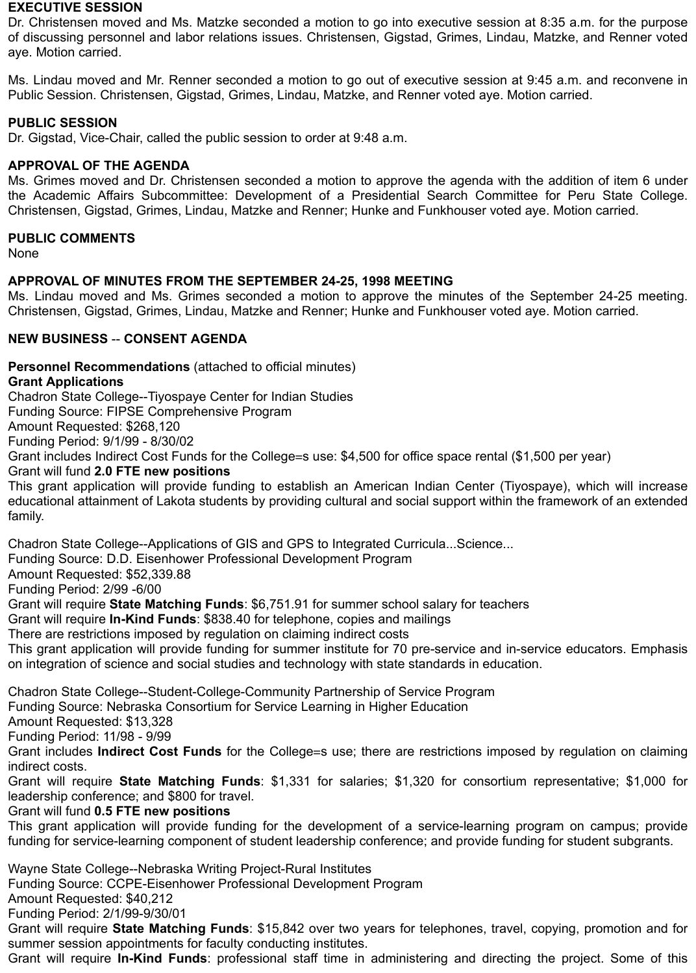## **EXECUTIVE SESSION**

Dr. Christensen moved and Ms. Matzke seconded a motion to go into executive session at 8:35 a.m. for the purpose of discussing personnel and labor relations issues. Christensen, Gigstad, Grimes, Lindau, Matzke, and Renner voted aye. Motion carried.

Ms. Lindau moved and Mr. Renner seconded a motion to go out of executive session at 9:45 a.m. and reconvene in Public Session. Christensen, Gigstad, Grimes, Lindau, Matzke, and Renner voted aye. Motion carried.

# **PUBLIC SESSION**

Dr. Gigstad, Vice-Chair, called the public session to order at 9:48 a.m.

# **APPROVAL OF THE AGENDA**

Ms. Grimes moved and Dr. Christensen seconded a motion to approve the agenda with the addition of item 6 under the Academic Affairs Subcommittee: Development of a Presidential Search Committee for Peru State College. Christensen, Gigstad, Grimes, Lindau, Matzke and Renner; Hunke and Funkhouser voted aye. Motion carried.

# **PUBLIC COMMENTS**

None

# **APPROVAL OF MINUTES FROM THE SEPTEMBER 24-25, 1998 MEETING**

Ms. Lindau moved and Ms. Grimes seconded a motion to approve the minutes of the September 24-25 meeting. Christensen, Gigstad, Grimes, Lindau, Matzke and Renner; Hunke and Funkhouser voted aye. Motion carried.

# **NEW BUSINESS** -- **CONSENT AGENDA**

**Personnel Recommendations** (attached to official minutes)

**Grant Applications**

Chadron State College--Tiyospaye Center for Indian Studies

Funding Source: FIPSE Comprehensive Program

Amount Requested: \$268,120

Funding Period: 9/1/99 - 8/30/02

Grant includes Indirect Cost Funds for the College=s use: \$4,500 for office space rental (\$1,500 per year)

Grant will fund **2.0 FTE new positions**

This grant application will provide funding to establish an American Indian Center (Tiyospaye), which will increase educational attainment of Lakota students by providing cultural and social support within the framework of an extended family.

Chadron State College--Applications of GIS and GPS to Integrated Curricula...Science...

Funding Source: D.D. Eisenhower Professional Development Program

Amount Requested: \$52,339.88

Funding Period: 2/99 -6/00

Grant will require **State Matching Funds**: \$6,751.91 for summer school salary for teachers

Grant will require **In-Kind Funds**: \$838.40 for telephone, copies and mailings

There are restrictions imposed by regulation on claiming indirect costs

This grant application will provide funding for summer institute for 70 pre-service and in-service educators. Emphasis on integration of science and social studies and technology with state standards in education.

Chadron State College--Student-College-Community Partnership of Service Program

Funding Source: Nebraska Consortium for Service Learning in Higher Education

Amount Requested: \$13,328

Funding Period: 11/98 - 9/99

Grant includes **Indirect Cost Funds** for the College=s use; there are restrictions imposed by regulation on claiming indirect costs.

Grant will require **State Matching Funds**: \$1,331 for salaries; \$1,320 for consortium representative; \$1,000 for leadership conference; and \$800 for travel.

Grant will fund **0.5 FTE new positions**

This grant application will provide funding for the development of a service-learning program on campus; provide funding for service-learning component of student leadership conference; and provide funding for student subgrants.

Wayne State College--Nebraska Writing Project-Rural Institutes

Funding Source: CCPE-Eisenhower Professional Development Program

Amount Requested: \$40,212

Funding Period: 2/1/99-9/30/01

Grant will require **State Matching Funds**: \$15,842 over two years for telephones, travel, copying, promotion and for summer session appointments for faculty conducting institutes.

Grant will require **In-Kind Funds**: professional staff time in administering and directing the project. Some of this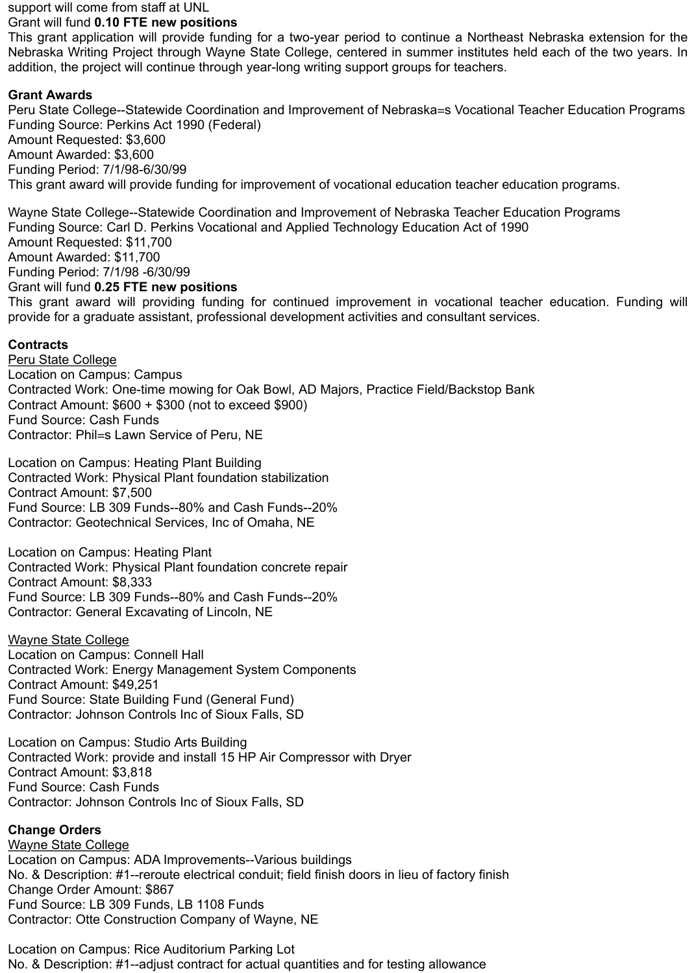#### support will come from staff at UNL

# Grant will fund **0.10 FTE new positions**

This grant application will provide funding for a two-year period to continue a Northeast Nebraska extension for the Nebraska Writing Project through Wayne State College, centered in summer institutes held each of the two years. In addition, the project will continue through year-long writing support groups for teachers.

# **Grant Awards**

Peru State College--Statewide Coordination and Improvement of Nebraska=s Vocational Teacher Education Programs Funding Source: Perkins Act 1990 (Federal) Amount Requested: \$3,600 Amount Awarded: \$3,600 Funding Period: 7/1/98-6/30/99 This grant award will provide funding for improvement of vocational education teacher education programs.

Wayne State College--Statewide Coordination and Improvement of Nebraska Teacher Education Programs Funding Source: Carl D. Perkins Vocational and Applied Technology Education Act of 1990 Amount Requested: \$11,700 Amount Awarded: \$11,700 Funding Period: 7/1/98 -6/30/99 Grant will fund **0.25 FTE new positions**

This grant award will providing funding for continued improvement in vocational teacher education. Funding will provide for a graduate assistant, professional development activities and consultant services.

# **Contracts**

Peru State College Location on Campus: Campus Contracted Work: One-time mowing for Oak Bowl, AD Majors, Practice Field/Backstop Bank Contract Amount: \$600 + \$300 (not to exceed \$900) Fund Source: Cash Funds Contractor: Phil=s Lawn Service of Peru, NE

Location on Campus: Heating Plant Building Contracted Work: Physical Plant foundation stabilization Contract Amount: \$7,500 Fund Source: LB 309 Funds--80% and Cash Funds--20% Contractor: Geotechnical Services, Inc of Omaha, NE

Location on Campus: Heating Plant Contracted Work: Physical Plant foundation concrete repair Contract Amount: \$8,333 Fund Source: LB 309 Funds--80% and Cash Funds--20% Contractor: General Excavating of Lincoln, NE

# Wayne State College

Location on Campus: Connell Hall Contracted Work: Energy Management System Components Contract Amount: \$49,251 Fund Source: State Building Fund (General Fund) Contractor: Johnson Controls Inc of Sioux Falls, SD

Location on Campus: Studio Arts Building Contracted Work: provide and install 15 HP Air Compressor with Dryer Contract Amount: \$3,818 Fund Source: Cash Funds Contractor: Johnson Controls Inc of Sioux Falls, SD

# **Change Orders**

Wayne State College Location on Campus: ADA Improvements--Various buildings No. & Description: #1--reroute electrical conduit; field finish doors in lieu of factory finish Change Order Amount: \$867 Fund Source: LB 309 Funds, LB 1108 Funds Contractor: Otte Construction Company of Wayne, NE

Location on Campus: Rice Auditorium Parking Lot No. & Description: #1--adjust contract for actual quantities and for testing allowance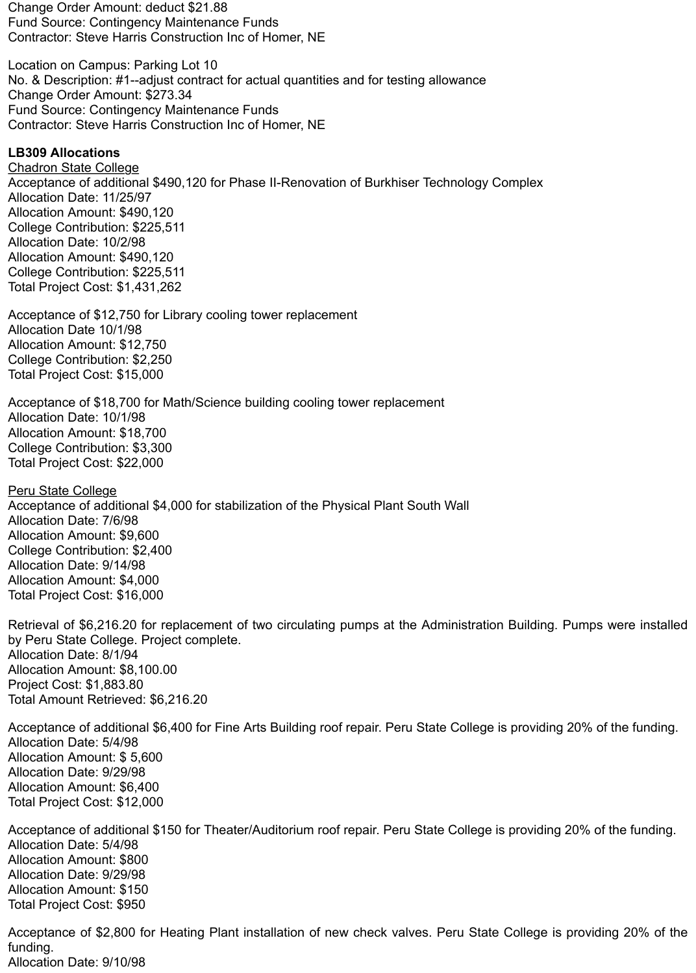Change Order Amount: deduct \$21.88 Fund Source: Contingency Maintenance Funds Contractor: Steve Harris Construction Inc of Homer, NE

Location on Campus: Parking Lot 10 No. & Description: #1--adjust contract for actual quantities and for testing allowance Change Order Amount: \$273.34 Fund Source: Contingency Maintenance Funds Contractor: Steve Harris Construction Inc of Homer, NE

## **LB309 Allocations**

Chadron State College Acceptance of additional \$490,120 for Phase II-Renovation of Burkhiser Technology Complex Allocation Date: 11/25/97 Allocation Amount: \$490,120 College Contribution: \$225,511 Allocation Date: 10/2/98 Allocation Amount: \$490,120 College Contribution: \$225,511 Total Project Cost: \$1,431,262

Acceptance of \$12,750 for Library cooling tower replacement Allocation Date 10/1/98 Allocation Amount: \$12,750 College Contribution: \$2,250 Total Project Cost: \$15,000

Acceptance of \$18,700 for Math/Science building cooling tower replacement Allocation Date: 10/1/98 Allocation Amount: \$18,700 College Contribution: \$3,300 Total Project Cost: \$22,000

Peru State College Acceptance of additional \$4,000 for stabilization of the Physical Plant South Wall Allocation Date: 7/6/98 Allocation Amount: \$9,600 College Contribution: \$2,400 Allocation Date: 9/14/98 Allocation Amount: \$4,000 Total Project Cost: \$16,000

Retrieval of \$6,216.20 for replacement of two circulating pumps at the Administration Building. Pumps were installed by Peru State College. Project complete. Allocation Date: 8/1/94 Allocation Amount: \$8,100.00 Project Cost: \$1,883.80 Total Amount Retrieved: \$6,216.20

Acceptance of additional \$6,400 for Fine Arts Building roof repair. Peru State College is providing 20% of the funding. Allocation Date: 5/4/98 Allocation Amount: \$ 5,600 Allocation Date: 9/29/98 Allocation Amount: \$6,400 Total Project Cost: \$12,000

Acceptance of additional \$150 for Theater/Auditorium roof repair. Peru State College is providing 20% of the funding. Allocation Date: 5/4/98 Allocation Amount: \$800 Allocation Date: 9/29/98 Allocation Amount: \$150 Total Project Cost: \$950

Acceptance of \$2,800 for Heating Plant installation of new check valves. Peru State College is providing 20% of the funding. Allocation Date: 9/10/98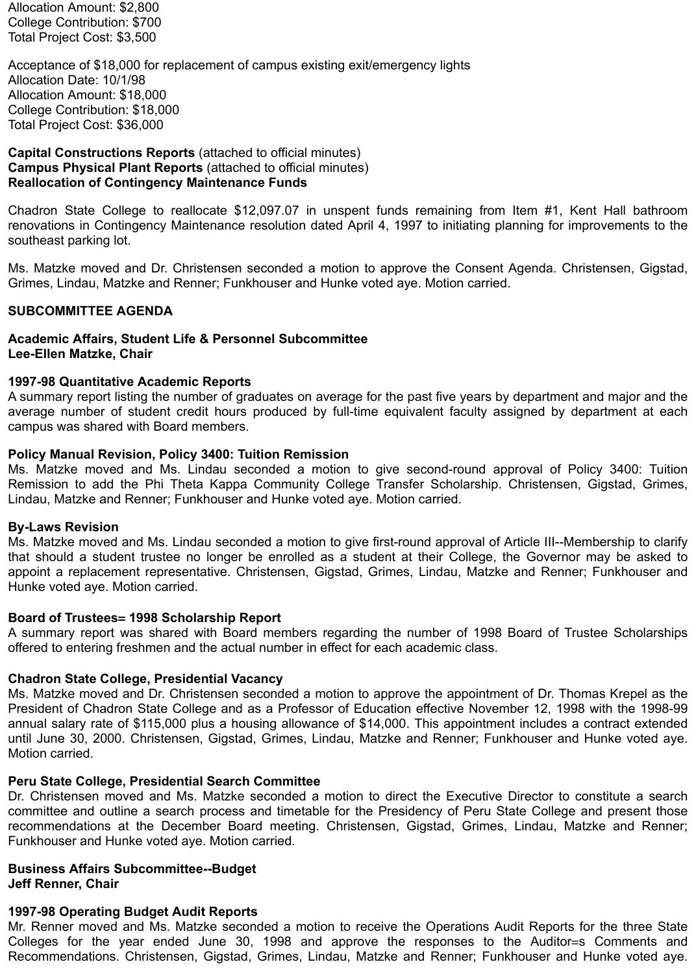Allocation Amount: \$2,800 College Contribution: \$700 Total Project Cost: \$3,500

Acceptance of \$18,000 for replacement of campus existing exit/emergency lights Allocation Date: 10/1/98 Allocation Amount: \$18,000 College Contribution: \$18,000 Total Project Cost: \$36,000

**Capital Constructions Reports** (attached to official minutes) **Campus Physical Plant Reports** (attached to official minutes) **Reallocation of Contingency Maintenance Funds**

Chadron State College to reallocate \$12,097.07 in unspent funds remaining from Item #1, Kent Hall bathroom renovations in Contingency Maintenance resolution dated April 4, 1997 to initiating planning for improvements to the southeast parking lot.

Ms. Matzke moved and Dr. Christensen seconded a motion to approve the Consent Agenda. Christensen, Gigstad, Grimes, Lindau, Matzke and Renner; Funkhouser and Hunke voted aye. Motion carried.

### **SUBCOMMITTEE AGENDA**

#### **Academic Affairs, Student Life & Personnel Subcommittee Lee-Ellen Matzke, Chair**

#### **1997-98 Quantitative Academic Reports**

A summary report listing the number of graduates on average for the past five years by department and major and the average number of student credit hours produced by full-time equivalent faculty assigned by department at each campus was shared with Board members.

#### **Policy Manual Revision, Policy 3400: Tuition Remission**

Ms. Matzke moved and Ms. Lindau seconded a motion to give second-round approval of Policy 3400: Tuition Remission to add the Phi Theta Kappa Community College Transfer Scholarship. Christensen, Gigstad, Grimes, Lindau, Matzke and Renner; Funkhouser and Hunke voted aye. Motion carried.

#### **By-Laws Revision**

Ms. Matzke moved and Ms. Lindau seconded a motion to give first-round approval of Article III--Membership to clarify that should a student trustee no longer be enrolled as a student at their College, the Governor may be asked to appoint a replacement representative. Christensen, Gigstad, Grimes, Lindau, Matzke and Renner; Funkhouser and Hunke voted aye. Motion carried.

#### **Board of Trustees= 1998 Scholarship Report**

A summary report was shared with Board members regarding the number of 1998 Board of Trustee Scholarships offered to entering freshmen and the actual number in effect for each academic class.

#### **Chadron State College, Presidential Vacancy**

Ms. Matzke moved and Dr. Christensen seconded a motion to approve the appointment of Dr. Thomas Krepel as the President of Chadron State College and as a Professor of Education effective November 12, 1998 with the 1998-99 annual salary rate of \$115,000 plus a housing allowance of \$14,000. This appointment includes a contract extended until June 30, 2000. Christensen, Gigstad, Grimes, Lindau, Matzke and Renner; Funkhouser and Hunke voted aye. Motion carried.

#### **Peru State College, Presidential Search Committee**

Dr. Christensen moved and Ms. Matzke seconded a motion to direct the Executive Director to constitute a search committee and outline a search process and timetable for the Presidency of Peru State College and present those recommendations at the December Board meeting. Christensen, Gigstad, Grimes, Lindau, Matzke and Renner; Funkhouser and Hunke voted aye. Motion carried.

#### **Business Affairs Subcommittee--Budget Jeff Renner, Chair**

#### **1997-98 Operating Budget Audit Reports**

Mr. Renner moved and Ms. Matzke seconded a motion to receive the Operations Audit Reports for the three State Colleges for the year ended June 30, 1998 and approve the responses to the Auditor=s Comments and Recommendations. Christensen, Gigstad, Grimes, Lindau, Matzke and Renner; Funkhouser and Hunke voted aye.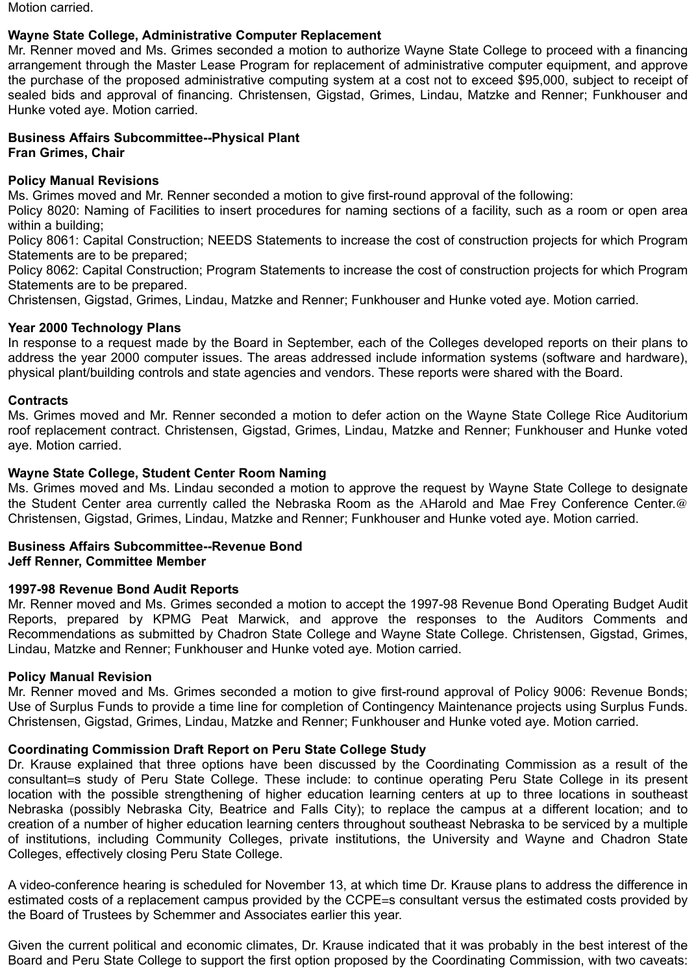Motion carried.

# **Wayne State College, Administrative Computer Replacement**

Mr. Renner moved and Ms. Grimes seconded a motion to authorize Wayne State College to proceed with a financing arrangement through the Master Lease Program for replacement of administrative computer equipment, and approve the purchase of the proposed administrative computing system at a cost not to exceed \$95,000, subject to receipt of sealed bids and approval of financing. Christensen, Gigstad, Grimes, Lindau, Matzke and Renner; Funkhouser and Hunke voted aye. Motion carried.

#### **Business Affairs Subcommittee--Physical Plant Fran Grimes, Chair**

### **Policy Manual Revisions**

Ms. Grimes moved and Mr. Renner seconded a motion to give first-round approval of the following:

Policy 8020: Naming of Facilities to insert procedures for naming sections of a facility, such as a room or open area within a building;

Policy 8061: Capital Construction; NEEDS Statements to increase the cost of construction projects for which Program Statements are to be prepared;

Policy 8062: Capital Construction; Program Statements to increase the cost of construction projects for which Program Statements are to be prepared.

Christensen, Gigstad, Grimes, Lindau, Matzke and Renner; Funkhouser and Hunke voted aye. Motion carried.

### **Year 2000 Technology Plans**

In response to a request made by the Board in September, each of the Colleges developed reports on their plans to address the year 2000 computer issues. The areas addressed include information systems (software and hardware), physical plant/building controls and state agencies and vendors. These reports were shared with the Board.

### **Contracts**

Ms. Grimes moved and Mr. Renner seconded a motion to defer action on the Wayne State College Rice Auditorium roof replacement contract. Christensen, Gigstad, Grimes, Lindau, Matzke and Renner; Funkhouser and Hunke voted aye. Motion carried.

### **Wayne State College, Student Center Room Naming**

Ms. Grimes moved and Ms. Lindau seconded a motion to approve the request by Wayne State College to designate the Student Center area currently called the Nebraska Room as the AHarold and Mae Frey Conference Center.@ Christensen, Gigstad, Grimes, Lindau, Matzke and Renner; Funkhouser and Hunke voted aye. Motion carried.

#### **Business Affairs Subcommittee--Revenue Bond Jeff Renner, Committee Member**

# **1997-98 Revenue Bond Audit Reports**

Mr. Renner moved and Ms. Grimes seconded a motion to accept the 1997-98 Revenue Bond Operating Budget Audit Reports, prepared by KPMG Peat Marwick, and approve the responses to the Auditors Comments and Recommendations as submitted by Chadron State College and Wayne State College. Christensen, Gigstad, Grimes, Lindau, Matzke and Renner; Funkhouser and Hunke voted aye. Motion carried.

#### **Policy Manual Revision**

Mr. Renner moved and Ms. Grimes seconded a motion to give first-round approval of Policy 9006: Revenue Bonds; Use of Surplus Funds to provide a time line for completion of Contingency Maintenance projects using Surplus Funds. Christensen, Gigstad, Grimes, Lindau, Matzke and Renner; Funkhouser and Hunke voted aye. Motion carried.

#### **Coordinating Commission Draft Report on Peru State College Study**

Dr. Krause explained that three options have been discussed by the Coordinating Commission as a result of the consultant=s study of Peru State College. These include: to continue operating Peru State College in its present location with the possible strengthening of higher education learning centers at up to three locations in southeast Nebraska (possibly Nebraska City, Beatrice and Falls City); to replace the campus at a different location; and to creation of a number of higher education learning centers throughout southeast Nebraska to be serviced by a multiple of institutions, including Community Colleges, private institutions, the University and Wayne and Chadron State Colleges, effectively closing Peru State College.

A video-conference hearing is scheduled for November 13, at which time Dr. Krause plans to address the difference in estimated costs of a replacement campus provided by the CCPE=s consultant versus the estimated costs provided by the Board of Trustees by Schemmer and Associates earlier this year.

Given the current political and economic climates, Dr. Krause indicated that it was probably in the best interest of the Board and Peru State College to support the first option proposed by the Coordinating Commission, with two caveats: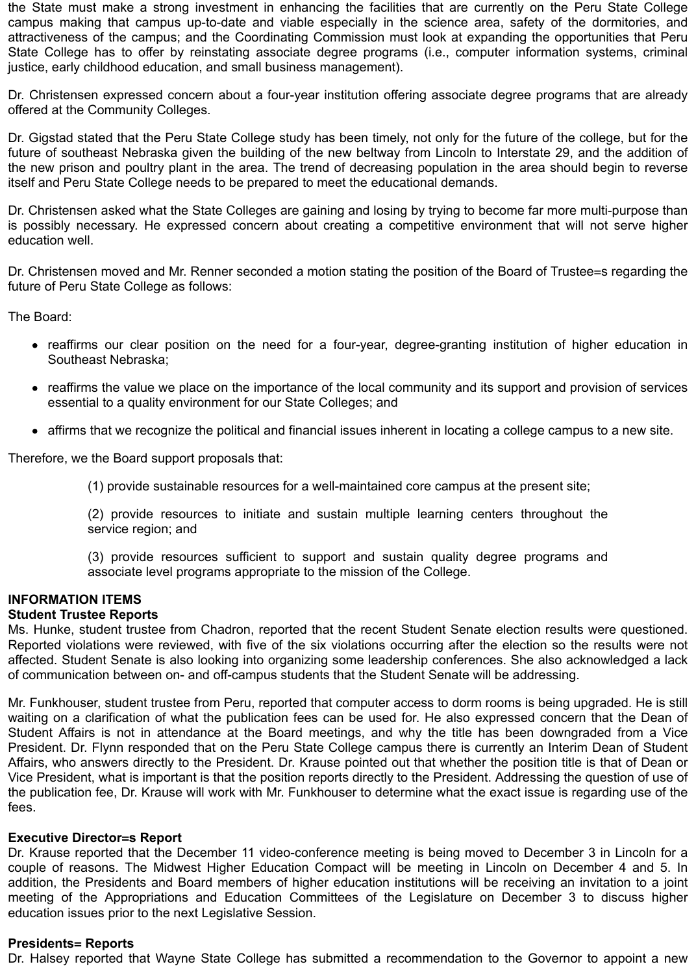the State must make a strong investment in enhancing the facilities that are currently on the Peru State College campus making that campus up-to-date and viable especially in the science area, safety of the dormitories, and attractiveness of the campus; and the Coordinating Commission must look at expanding the opportunities that Peru State College has to offer by reinstating associate degree programs (i.e., computer information systems, criminal justice, early childhood education, and small business management).

Dr. Christensen expressed concern about a four-year institution offering associate degree programs that are already offered at the Community Colleges.

Dr. Gigstad stated that the Peru State College study has been timely, not only for the future of the college, but for the future of southeast Nebraska given the building of the new beltway from Lincoln to Interstate 29, and the addition of the new prison and poultry plant in the area. The trend of decreasing population in the area should begin to reverse itself and Peru State College needs to be prepared to meet the educational demands.

Dr. Christensen asked what the State Colleges are gaining and losing by trying to become far more multi-purpose than is possibly necessary. He expressed concern about creating a competitive environment that will not serve higher education well.

Dr. Christensen moved and Mr. Renner seconded a motion stating the position of the Board of Trustee=s regarding the future of Peru State College as follows:

The Board:

- reaffirms our clear position on the need for a four-year, degree-granting institution of higher education in Southeast Nebraska;
- reaffirms the value we place on the importance of the local community and its support and provision of services essential to a quality environment for our State Colleges; and
- affirms that we recognize the political and financial issues inherent in locating a college campus to a new site.

Therefore, we the Board support proposals that:

(1) provide sustainable resources for a well-maintained core campus at the present site;

(2) provide resources to initiate and sustain multiple learning centers throughout the service region; and

(3) provide resources sufficient to support and sustain quality degree programs and associate level programs appropriate to the mission of the College.

# **INFORMATION ITEMS**

# **Student Trustee Reports**

Ms. Hunke, student trustee from Chadron, reported that the recent Student Senate election results were questioned. Reported violations were reviewed, with five of the six violations occurring after the election so the results were not affected. Student Senate is also looking into organizing some leadership conferences. She also acknowledged a lack of communication between on- and off-campus students that the Student Senate will be addressing.

Mr. Funkhouser, student trustee from Peru, reported that computer access to dorm rooms is being upgraded. He is still waiting on a clarification of what the publication fees can be used for. He also expressed concern that the Dean of Student Affairs is not in attendance at the Board meetings, and why the title has been downgraded from a Vice President. Dr. Flynn responded that on the Peru State College campus there is currently an Interim Dean of Student Affairs, who answers directly to the President. Dr. Krause pointed out that whether the position title is that of Dean or Vice President, what is important is that the position reports directly to the President. Addressing the question of use of the publication fee, Dr. Krause will work with Mr. Funkhouser to determine what the exact issue is regarding use of the fees.

# **Executive Director=s Report**

Dr. Krause reported that the December 11 video-conference meeting is being moved to December 3 in Lincoln for a couple of reasons. The Midwest Higher Education Compact will be meeting in Lincoln on December 4 and 5. In addition, the Presidents and Board members of higher education institutions will be receiving an invitation to a joint meeting of the Appropriations and Education Committees of the Legislature on December 3 to discuss higher education issues prior to the next Legislative Session.

# **Presidents= Reports**

Dr. Halsey reported that Wayne State College has submitted a recommendation to the Governor to appoint a new